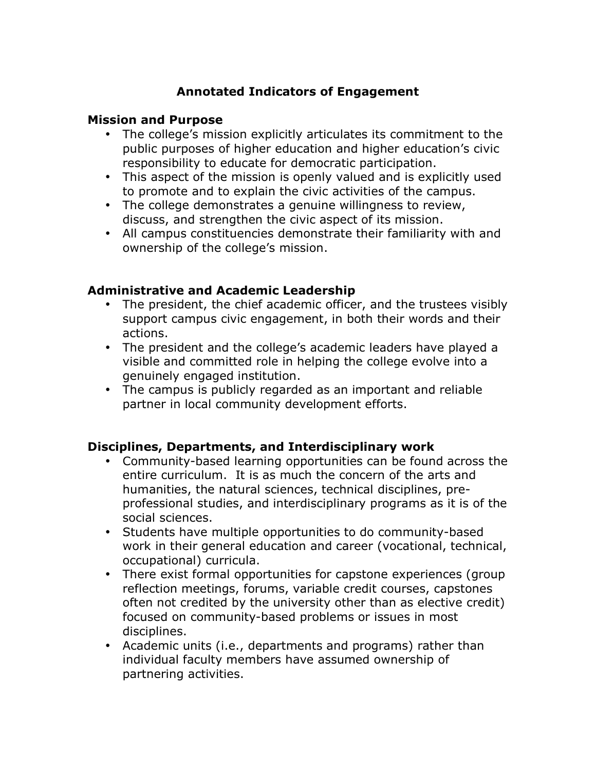# **Annotated Indicators of Engagement**

#### **Mission and Purpose**

- The college's mission explicitly articulates its commitment to the public purposes of higher education and higher education's civic responsibility to educate for democratic participation.
- This aspect of the mission is openly valued and is explicitly used to promote and to explain the civic activities of the campus.
- The college demonstrates a genuine willingness to review, discuss, and strengthen the civic aspect of its mission.
- All campus constituencies demonstrate their familiarity with and ownership of the college's mission.

#### **Administrative and Academic Leadership**

- The president, the chief academic officer, and the trustees visibly support campus civic engagement, in both their words and their actions.
- The president and the college's academic leaders have played a visible and committed role in helping the college evolve into a genuinely engaged institution.
- The campus is publicly regarded as an important and reliable partner in local community development efforts.

### **Disciplines, Departments, and Interdisciplinary work**

- Community-based learning opportunities can be found across the entire curriculum. It is as much the concern of the arts and humanities, the natural sciences, technical disciplines, preprofessional studies, and interdisciplinary programs as it is of the social sciences.
- Students have multiple opportunities to do community-based work in their general education and career (vocational, technical, occupational) curricula.
- There exist formal opportunities for capstone experiences (group reflection meetings, forums, variable credit courses, capstones often not credited by the university other than as elective credit) focused on community-based problems or issues in most disciplines.
- Academic units (i.e., departments and programs) rather than individual faculty members have assumed ownership of partnering activities.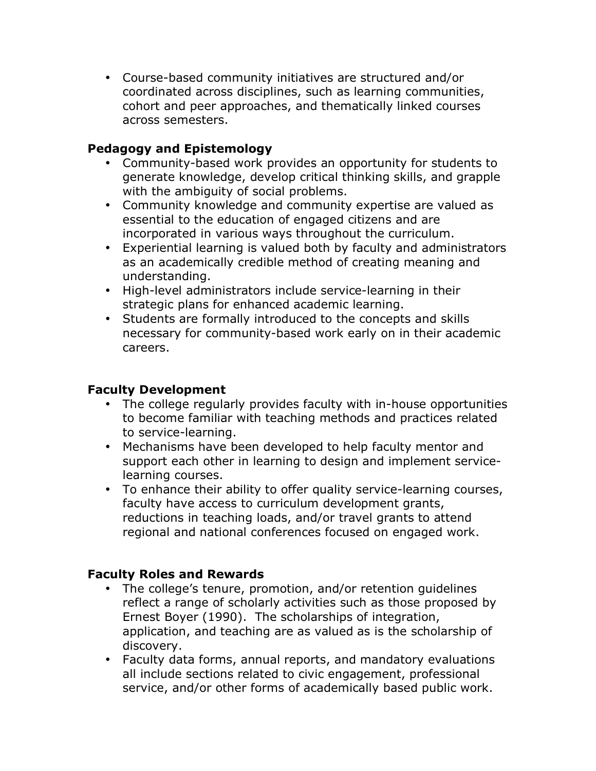• Course-based community initiatives are structured and/or coordinated across disciplines, such as learning communities, cohort and peer approaches, and thematically linked courses across semesters.

### **Pedagogy and Epistemology**

- Community-based work provides an opportunity for students to generate knowledge, develop critical thinking skills, and grapple with the ambiguity of social problems.
- Community knowledge and community expertise are valued as essential to the education of engaged citizens and are incorporated in various ways throughout the curriculum.
- Experiential learning is valued both by faculty and administrators as an academically credible method of creating meaning and understanding.
- High-level administrators include service-learning in their strategic plans for enhanced academic learning.
- Students are formally introduced to the concepts and skills necessary for community-based work early on in their academic careers.

# **Faculty Development**

- The college regularly provides faculty with in-house opportunities to become familiar with teaching methods and practices related to service-learning.
- Mechanisms have been developed to help faculty mentor and support each other in learning to design and implement servicelearning courses.
- To enhance their ability to offer quality service-learning courses, faculty have access to curriculum development grants, reductions in teaching loads, and/or travel grants to attend regional and national conferences focused on engaged work.

# **Faculty Roles and Rewards**

- The college's tenure, promotion, and/or retention guidelines reflect a range of scholarly activities such as those proposed by Ernest Boyer (1990). The scholarships of integration, application, and teaching are as valued as is the scholarship of discovery.
- Faculty data forms, annual reports, and mandatory evaluations all include sections related to civic engagement, professional service, and/or other forms of academically based public work.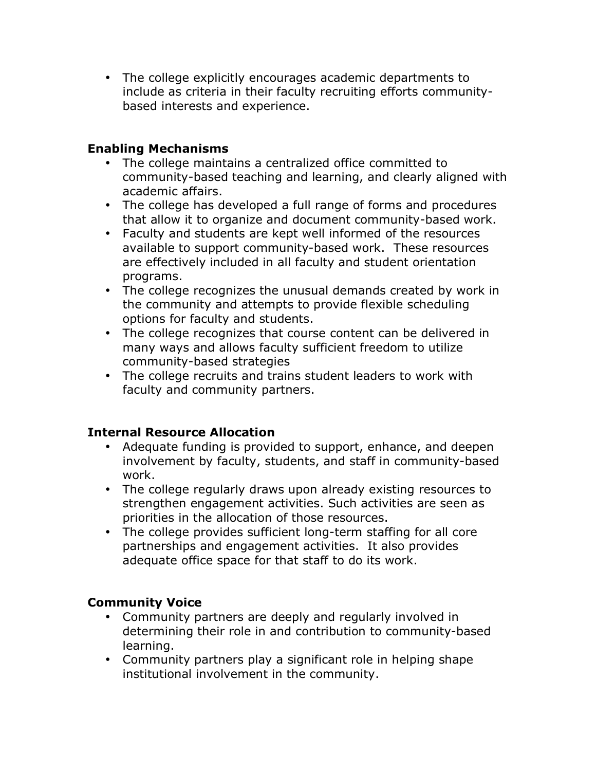• The college explicitly encourages academic departments to include as criteria in their faculty recruiting efforts communitybased interests and experience.

### **Enabling Mechanisms**

- The college maintains a centralized office committed to community-based teaching and learning, and clearly aligned with academic affairs.
- The college has developed a full range of forms and procedures that allow it to organize and document community-based work.
- Faculty and students are kept well informed of the resources available to support community-based work. These resources are effectively included in all faculty and student orientation programs.
- The college recognizes the unusual demands created by work in the community and attempts to provide flexible scheduling options for faculty and students.
- The college recognizes that course content can be delivered in many ways and allows faculty sufficient freedom to utilize community-based strategies
- The college recruits and trains student leaders to work with faculty and community partners.

# **Internal Resource Allocation**

- Adequate funding is provided to support, enhance, and deepen involvement by faculty, students, and staff in community-based work.
- The college regularly draws upon already existing resources to strengthen engagement activities. Such activities are seen as priorities in the allocation of those resources.
- The college provides sufficient long-term staffing for all core partnerships and engagement activities. It also provides adequate office space for that staff to do its work.

# **Community Voice**

- Community partners are deeply and regularly involved in determining their role in and contribution to community-based learning.
- Community partners play a significant role in helping shape institutional involvement in the community.